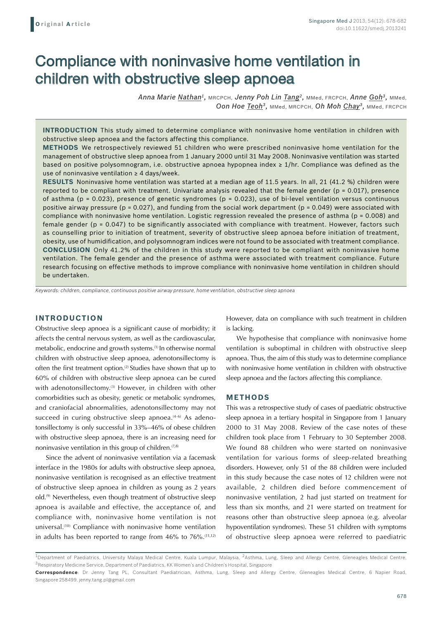# Compliance with noninvasive home ventilation in children with obstructive sleep apnoea

*Anna Marie Nathan1,* MRCPCH, *Jenny Poh Lin Tang2,* MMed, FRCPCH, *Anne Goh3,* MMed, *Oon Hoe Teoh3,* MMed, MRCPCH, *Oh Moh Chay3,* MMed, FRCPCH

**Introduction** This study aimed to determine compliance with noninvasive home ventilation in children with obstructive sleep apnoea and the factors affecting this compliance.

**Methods** We retrospectively reviewed 51 children who were prescribed noninvasive home ventilation for the management of obstructive sleep apnoea from 1 January 2000 until 31 May 2008. Noninvasive ventilation was started based on positive polysomnogram, i.e. obstructive apnoea hypopnea index ≥ 1/hr. Compliance was defined as the use of noninvasive ventilation  $\geq 4$  days/week.

**Results** Noninvasive home ventilation was started at a median age of 11.5 years. In all, 21 (41.2 %) children were reported to be compliant with treatment. Univariate analysis revealed that the female gender ( $p = 0.017$ ), presence of asthma ( $p = 0.023$ ), presence of genetic syndromes ( $p = 0.023$ ), use of bi-level ventilation versus continuous positive airway pressure ( $p = 0.027$ ), and funding from the social work department ( $p = 0.049$ ) were associated with compliance with noninvasive home ventilation. Logistic regression revealed the presence of asthma ( $p = 0.008$ ) and female gender (p = 0.047) to be significantly associated with compliance with treatment. However, factors such as counselling prior to initiation of treatment, severity of obstructive sleep apnoea before initiation of treatment, obesity, use of humidification, and polysomnogram indices were not found to be associated with treatment compliance. **Conclusion** Only 41.2% of the children in this study were reported to be compliant with noninvasive home ventilation. The female gender and the presence of asthma were associated with treatment compliance. Future research focusing on effective methods to improve compliance with noninvasive home ventilation in children should be undertaken.

*Keywords: children, compliance, continuous positive airway pressure, home ventilation, obstructive sleep apnoea*

# **INTRODUCTION**

Obstructive sleep apnoea is a significant cause of morbidity; it affects the central nervous system, as well as the cardiovascular, metabolic, endocrine and growth systems.(1) In otherwise normal children with obstructive sleep apnoea, adenotonsillectomy is often the first treatment option.<sup>(2)</sup> Studies have shown that up to 60% of children with obstructive sleep apnoea can be cured with adenotonsillectomy.<sup>(3)</sup> However, in children with other comorbidities such as obesity, genetic or metabolic syndromes, and craniofacial abnormalities, adenotonsillectomy may not succeed in curing obstructive sleep apnoea. $(4-6)$  As adenotonsillectomy is only successful in 33%–46% of obese children with obstructive sleep apnoea, there is an increasing need for noninvasive ventilation in this group of children.<sup> $(7,8)$ </sup>

Since the advent of noninvasive ventilation via a facemask interface in the 1980s for adults with obstructive sleep apnoea, noninvasive ventilation is recognised as an effective treatment of obstructive sleep apnoea in children as young as 2 years old.(9) Nevertheless, even though treatment of obstructive sleep apnoea is available and effective, the acceptance of, and compliance with, noninvasive home ventilation is not universal.(10) Compliance with noninvasive home ventilation in adults has been reported to range from  $46\%$  to  $76\%$ .<sup> $(11,12)$ </sup> However, data on compliance with such treatment in children is lacking.

We hypothesise that compliance with noninvasive home ventilation is suboptimal in children with obstructive sleep apnoea. Thus, the aim of this study was to determine compliance with noninvasive home ventilation in children with obstructive sleep apnoea and the factors affecting this compliance.

#### **METHODS**

This was a retrospective study of cases of paediatric obstructive sleep apnoea in a tertiary hospital in Singapore from 1 January 2000 to 31 May 2008. Review of the case notes of these children took place from 1 February to 30 September 2008. We found 88 children who were started on noninvasive ventilation for various forms of sleep-related breathing disorders. However, only 51 of the 88 children were included in this study because the case notes of 12 children were not available, 2 children died before commencement of noninvasive ventilation, 2 had just started on treatment for less than six months, and 21 were started on treatment for reasons other than obstructive sleep apnoea (e.g. alveolar hypoventilation syndromes). These 51 children with symptoms of obstructive sleep apnoea were referred to paediatric

<sup>&</sup>lt;sup>1</sup>Department of Paediatrics, University Malaya Medical Centre, Kuala Lumpur, Malaysia, <sup>2</sup>Asthma, Lung, Sleep and Allergy Centre, Gleneagles Medical Centre, 3Respiratory Medicine Service, Department of Paediatrics, KK Women's and Children's Hospital, Singapore

**Correspondence**: Dr Jenny Tang PL, Consultant Paediatrician, Asthma, Lung, Sleep and Allergy Centre, Gleneagles Medical Centre, 6 Napier Road, Singapore 258499. jenny.tang.pl@gmail.com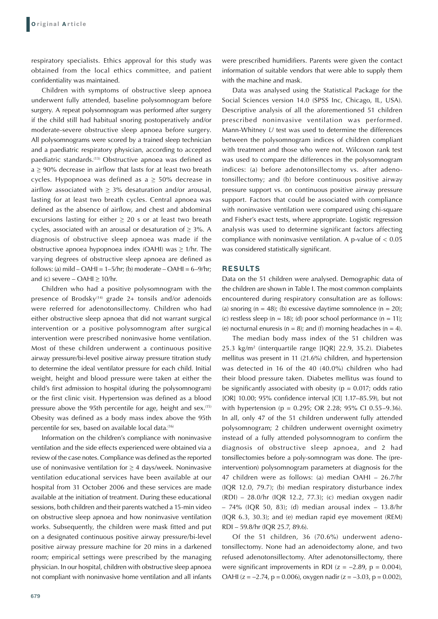respiratory specialists. Ethics approval for this study was obtained from the local ethics committee, and patient confidentiality was maintained.

Children with symptoms of obstructive sleep apnoea underwent fully attended, baseline polysomnogram before surgery. A repeat polysomnogram was performed after surgery if the child still had habitual snoring postoperatively and/or moderate-severe obstructive sleep apnoea before surgery. All polysomnograms were scored by a trained sleep technician and a paediatric respiratory physician, according to accepted paediatric standards.(13) Obstructive apnoea was defined as  $a \ge 90\%$  decrease in airflow that lasts for at least two breath cycles. Hypopnoea was defined as  $a \geq 50\%$  decrease in airflow associated with  $\geq$  3% desaturation and/or arousal, lasting for at least two breath cycles. Central apnoea was defined as the absence of airflow, and chest and abdominal excursions lasting for either  $\geq$  20 s or at least two breath cycles, associated with an arousal or desaturation of  $\geq$  3%. A diagnosis of obstructive sleep apnoea was made if the obstructive apnoea hypopnoea index (OAHI) was  $\geq$  1/hr. The varying degrees of obstructive sleep apnoea are defined as follows: (a) mild – OAHI =  $1-5$ /hr; (b) moderate – OAHI =  $6-9$ /hr; and (c) severe –  $OAHI > 10/hr$ .

Children who had a positive polysomnogram with the presence of Brodsky<sup> $(14)$ </sup> grade 2+ tonsils and/or adenoids were referred for adenotonsillectomy. Children who had either obstructive sleep apnoea that did not warrant surgical intervention or a positive polysomnogram after surgical intervention were prescribed noninvasive home ventilation. Most of these children underwent a continuous positive airway pressure/bi-level positive airway pressure titration study to determine the ideal ventilator pressure for each child. Initial weight, height and blood pressure were taken at either the child's first admission to hospital (during the polysomnogram) or the first clinic visit. Hypertension was defined as a blood pressure above the 95th percentile for age, height and sex.(15) Obesity was defined as a body mass index above the 95th percentile for sex, based on available local data.(16)

Information on the children's compliance with noninvasive ventilation and the side effects experienced were obtained via a review of the case notes. Compliance was defined as the reported use of noninvasive ventilation for  $\geq 4$  days/week. Noninvasive ventilation educational services have been available at our hospital from 31 October 2006 and these services are made available at the initiation of treatment. During these educational sessions, both children and their parents watched a 15-min video on obstructive sleep apnoea and how noninvasive ventilation works. Subsequently, the children were mask fitted and put on a designated continuous positive airway pressure/bi-level positive airway pressure machine for 20 mins in a darkened room; empirical settings were prescribed by the managing physician. In our hospital, children with obstructive sleep apnoea not compliant with noninvasive home ventilation and all infants were prescribed humidifiers. Parents were given the contact information of suitable vendors that were able to supply them with the machine and mask.

Data was analysed using the Statistical Package for the Social Sciences version 14.0 (SPSS Inc, Chicago, IL, USA). Descriptive analysis of all the aforementioned 51 children prescribed noninvasive ventilation was performed. Mann-Whitney *U* test was used to determine the differences between the polysomnogram indices of children compliant with treatment and those who were not. Wilcoxon rank test was used to compare the differences in the polysomnogram indices: (a) before adenotonsillectomy vs. after adenotonsillectomy; and (b) before continuous positive airway pressure support vs. on continuous positive airway pressure support. Factors that could be associated with compliance with noninvasive ventilation were compared using chi-square and Fisher's exact tests, where appropriate. Logistic regression analysis was used to determine significant factors affecting compliance with noninvasive ventilation. A p-value of < 0.05 was considered statistically significant.

# **RESULTS**

Data on the 51 children were analysed. Demographic data of the children are shown in Table I. The most common complaints encountered during respiratory consultation are as follows: (a) snoring  $(n = 48)$ ; (b) excessive daytime somnolence  $(n = 20)$ ; (c) restless sleep ( $n = 18$ ); (d) poor school performance ( $n = 11$ ); (e) nocturnal enuresis ( $n = 8$ ); and (f) morning headaches ( $n = 4$ ).

The median body mass index of the 51 children was 25.3 kg/m<sup>2</sup> (interquartile range [IQR] 22.9, 35.2). Diabetes mellitus was present in 11 (21.6%) children, and hypertension was detected in 16 of the 40 (40.0%) children who had their blood pressure taken. Diabetes mellitus was found to be significantly associated with obesity ( $p = 0.017$ ; odds ratio [OR] 10.00; 95% confidence interval [CI] 1.17–85.59), but not with hypertension (p = 0.295; OR 2.28; 95% CI 0.55–9.36). In all, only 47 of the 51 children underwent fully attended polysomnogram; 2 children underwent overnight oximetry instead of a fully attended polysomnogram to confirm the diagnosis of obstructive sleep apnoea, and 2 had tonsillectomies before a poly-somnogram was done. The (preintervention) polysomnogram parameters at diagnosis for the 47 children were as follows: (a) median OAHI – 26.7/hr (IQR 12.0, 79.7); (b) median respiratory disturbance index (RDI) – 28.0/hr (IQR 12.2, 77.3); (c) median oxygen nadir – 74% (IQR 50, 83); (d) median arousal index – 13.8/hr (IQR 6.3, 30.3); and (e) median rapid eye movement (REM) RDI – 59.8/hr (IQR 25.7, 89.6).

Of the 51 children, 36 (70.6%) underwent adenotonsillectomy. None had an adenoidectomy alone, and two refused adenotonsillectomy. After adenotonsillectomy, there were significant improvements in RDI ( $z = -2.89$ ,  $p = 0.004$ ), OAHI (z = −2.74, p = 0.006), oxygen nadir (z = −3.03, p = 0.002),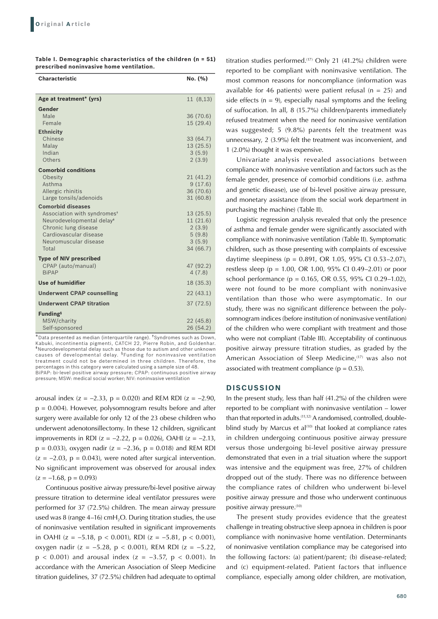| Table I. Demographic characteristics of the children $(n = 51)$ |  |  |
|-----------------------------------------------------------------|--|--|
| prescribed noninvasive home ventilation.                        |  |  |

| <b>Characteristic</b>                                         | No. (%)            |
|---------------------------------------------------------------|--------------------|
| Age at treatment* (yrs)                                       | 11(8,13)           |
| Gender                                                        |                    |
| Male                                                          | 36 (70.6)          |
| Female                                                        | 15(29.4)           |
| <b>Ethnicity</b>                                              |                    |
| Chinese                                                       | 33 (64.7)          |
| Malay<br>Indian                                               | 13(25.5)<br>3(5.9) |
| Others                                                        | 2(3.9)             |
| <b>Comorbid conditions</b>                                    |                    |
| Obesity                                                       | 21 (41.2)          |
| Asthma                                                        | 9(17.6)            |
| Allergic rhinitis                                             | 36 (70.6)          |
| Large tonsils/adenoids                                        | 31(60.8)           |
| <b>Comorbid diseases</b>                                      |                    |
| Association with syndromes <sup>+</sup>                       | 13(25.5)           |
| Neurodevelopmental delay <sup>*</sup><br>Chronic lung disease | 11(21.6)<br>2(3.9) |
| Cardiovascular disease                                        | 5(9.8)             |
| Neuromuscular disease                                         | 3(5.9)             |
| Total                                                         | 34 (66.7)          |
| <b>Type of NIV prescribed</b>                                 |                    |
| CPAP (auto/manual)                                            | 47 (92.2)          |
| <b>BiPAP</b>                                                  | 4(7.8)             |
| <b>Use of humidifier</b>                                      | 18 (35.3)          |
| <b>Underwent CPAP counselling</b>                             | 22(43.1)           |
| <b>Underwent CPAP titration</b>                               | 37(72.5)           |
| <b>Funding</b> <sup>§</sup>                                   |                    |
| MSW/charity                                                   | 22 (45.8)          |
| Self-sponsored                                                | 26 (54.2)          |

\*Data presented as median (interquartile range). †Syndromes such as Down, Kabuki, incontinentia pigmenti, CATCH 22, Pierre Robin, and Goldenhar. ‡Neurodevelopmental delay such as those due to autism and other unknown causes of developmental delay. §Funding for noninvasive ventilation treatment could not be determined in three children. Therefore, the percentages in this category were calculated using a sample size of 48.

BiPAP: bi-level positive airway pressure; CPAP: continuous positive airway pressure; MSW: medical social worker; NIV: noninvasive ventilation

arousal index (z = −2.33, p = 0.020) and REM RDI (z = −2.90,  $p = 0.004$ ). However, polysomnogram results before and after surgery were available for only 12 of the 23 obese children who underwent adenotonsillectomy. In these 12 children, significant improvements in RDI (z = −2.22, p = 0.026), OAHI (z = −2.13,  $p = 0.033$ ), oxygen nadir (z = -2.36, p = 0.018) and REM RDI  $(z = -2.03, p = 0.043)$ , were noted after surgical intervention. No significant improvement was observed for arousal index  $(z = -1.68, p = 0.093)$ 

Continuous positive airway pressure/bi-level positive airway pressure titration to determine ideal ventilator pressures were performed for 37 (72.5%) children. The mean airway pressure used was 8 (range  $4-16$ ) cmH<sub>2</sub>O. During titration studies, the use of noninvasive ventilation resulted in significant improvements in OAHI (z = −5.18, p < 0.001), RDI (z = −5.81, p < 0.001), oxygen nadir (z = −5.28, p < 0.001), REM RDI (z = −5.22,  $p$  < 0.001) and arousal index (z = -3.57,  $p$  < 0.001). In accordance with the American Association of Sleep Medicine titration guidelines, 37 (72.5%) children had adequate to optimal titration studies performed.<sup>(17)</sup> Only 21 (41.2%) children were reported to be compliant with noninvasive ventilation. The most common reasons for noncompliance (information was available for 46 patients) were patient refusal ( $n = 25$ ) and side effects ( $n = 9$ ), especially nasal symptoms and the feeling of suffocation. In all, 8 (15.7%) children/parents immediately refused treatment when the need for noninvasive ventilation was suggested; 5 (9.8%) parents felt the treatment was unnecessary, 2 (3.9%) felt the treatment was inconvenient, and 1 (2.0%) thought it was expensive.

Univariate analysis revealed associations between compliance with noninvasive ventilation and factors such as the female gender, presence of comorbid conditions (i.e. asthma and genetic disease), use of bi-level positive airway pressure, and monetary assistance (from the social work department in purchasing the machine) (Table II).

Logistic regression analysis revealed that only the presence of asthma and female gender were significantly associated with compliance with noninvasive ventilation (Table II). Symptomatic children, such as those presenting with complaints of excessive daytime sleepiness (p = 0.891, OR 1.05, 95% CI 0.53–2.07), restless sleep (p = 1.00, OR 1.00, 95% CI 0.49–2.01) or poor school performance (p = 0.165, OR 0.55, 95% CI 0.29–1.02), were not found to be more compliant with noninvasive ventilation than those who were asymptomatic. In our study, there was no significant difference between the polysomnogram indices (before institution of noninvasive ventilation) of the children who were compliant with treatment and those who were not compliant (Table III). Acceptability of continuous positive airway pressure titration studies, as graded by the American Association of Sleep Medicine,<sup>(17)</sup> was also not associated with treatment compliance ( $p = 0.53$ ).

#### **DISCUSSION**

In the present study, less than half (41.2%) of the children were reported to be compliant with noninvasive ventilation – lower than that reported in adults.<sup>(11,12)</sup> A randomised, controlled, doubleblind study by Marcus et al<sup>(10)</sup> that looked at compliance rates in children undergoing continuous positive airway pressure versus those undergoing bi-level positive airway pressure demonstrated that even in a trial situation where the support was intensive and the equipment was free, 27% of children dropped out of the study. There was no difference between the compliance rates of children who underwent bi-level positive airway pressure and those who underwent continuous positive airway pressure.<sup>(10)</sup>

The present study provides evidence that the greatest challenge in treating obstructive sleep apnoea in children is poor compliance with noninvasive home ventilation. Determinants of noninvasive ventilation compliance may be categorised into the following factors: (a) patient/parent; (b) disease-related; and (c) equipment-related. Patient factors that influence compliance, especially among older children, are motivation,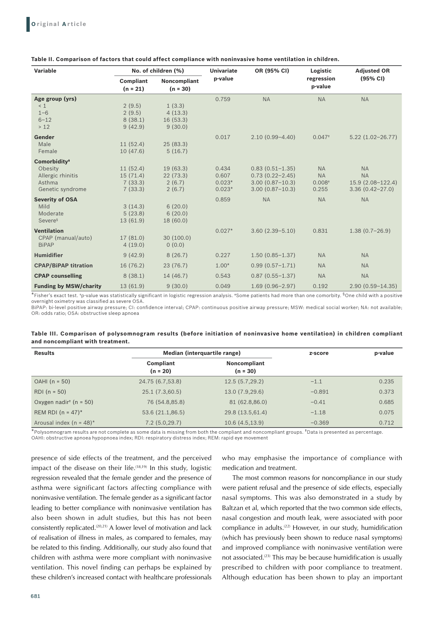| Variable                                                                               | No. of children (%)                        |                                          | <b>Univariate</b>                      | OR (95% CI)                                                                              | Logistic                                              | <b>Adjusted OR</b>                                                 |  |
|----------------------------------------------------------------------------------------|--------------------------------------------|------------------------------------------|----------------------------------------|------------------------------------------------------------------------------------------|-------------------------------------------------------|--------------------------------------------------------------------|--|
|                                                                                        | <b>Compliant</b><br>$(n = 21)$             | <b>Noncompliant</b><br>$(n = 30)$        | p-value                                |                                                                                          | regression<br>p-value                                 | (95% CI)                                                           |  |
| Age group (yrs)<br>< 1<br>$1 - 6$<br>$6 - 12$                                          | 2(9.5)<br>2(9.5)<br>8(38.1)                | 1(3.3)<br>4(13.3)<br>16(53.3)            | 0.759                                  | <b>NA</b>                                                                                | <b>NA</b>                                             | <b>NA</b>                                                          |  |
| $>12$<br>Gender<br>Male<br>Female                                                      | 9(42.9)<br>11(52.4)<br>10(47.6)            | 9(30.0)<br>25(83.3)<br>5(16.7)           | 0.017                                  | $2.10(0.99 - 4.40)$                                                                      | $0.047$ <sup>+</sup>                                  | $5.22(1.02 - 26.77)$                                               |  |
| Comorbidity <sup>*</sup><br>Obesity<br>Allergic rhinitis<br>Asthma<br>Genetic syndrome | 11(52.4)<br>15(71.4)<br>7(33.3)<br>7(33.3) | 19(63.3)<br>22(73.3)<br>2(6.7)<br>2(6.7) | 0.434<br>0.607<br>$0.023*$<br>$0.023*$ | $0.83(0.51 - 1.35)$<br>$0.73(0.22 - 2.45)$<br>$3.00(0.87 - 10.3)$<br>$3.00(0.87 - 10.3)$ | <b>NA</b><br><b>NA</b><br>0.008 <sup>†</sup><br>0.255 | <b>NA</b><br><b>NA</b><br>15.9 (2.08-122.4)<br>$3.36(0.42 - 27.0)$ |  |
| <b>Severity of OSA</b><br>Mild<br>Moderate<br>Severe <sup>§</sup>                      | 3(14.3)<br>5(23.8)<br>13 (61.9)            | 6(20.0)<br>6(20.0)<br>18 (60.0)          | 0.859                                  | <b>NA</b>                                                                                | <b>NA</b>                                             | <b>NA</b>                                                          |  |
| <b>Ventilation</b><br>CPAP (manual/auto)<br><b>BiPAP</b>                               | 17 (81.0)<br>4(19.0)                       | 30(100.0)<br>0(0.0)                      | $0.027*$                               | $3.60(2.39 - 5.10)$                                                                      | 0.831                                                 | $1.38(0.7-26.9)$                                                   |  |
| <b>Humidifier</b>                                                                      | 9(42.9)                                    | 8(26.7)                                  | 0.227                                  | $1.50(0.85 - 1.37)$                                                                      | <b>NA</b>                                             | <b>NA</b>                                                          |  |
| <b>CPAP/BiPAP titration</b>                                                            | 16 (76.2)                                  | 23(76.7)                                 | $1.00*$                                | $0.99(0.57 - 1.71)$                                                                      | <b>NA</b>                                             | <b>NA</b>                                                          |  |
| <b>CPAP counselling</b>                                                                | 8(38.1)                                    | 14 (46.7)                                | 0.543                                  | $0.87(0.55 - 1.37)$                                                                      | <b>NA</b>                                             | <b>NA</b>                                                          |  |
| <b>Funding by MSW/charity</b>                                                          | 13(61.9)                                   | 9(30.0)                                  | 0.049                                  | $1.69(0.96 - 2.97)$                                                                      | 0.192                                                 | $2.90(0.59 - 14.35)$                                               |  |

#### **Table II. Comparison of factors that could affect compliance with noninvasive home ventilation in children.**

\*Fisher's exact test. †p-value was statistically significant in logistic regression analysis. ‡Some patients had more than one comorbity. §One child with a positive overnight oximetry was classified as severe OSA.

BiPAP: bi-level positive airway pressure; CI: confidence interval; CPAP: continuous positive airway pressure; MSW: medical social worker; NA: not available; OR: odds ratio; OSA: obstructive sleep apnoea

|                                  | Table III. Comparison of polysomnogram results (before initiation of noninvasive home ventilation) in children compliant |  |  |  |  |
|----------------------------------|--------------------------------------------------------------------------------------------------------------------------|--|--|--|--|
| and noncompliant with treatment. |                                                                                                                          |  |  |  |  |

| <b>Results</b>                                  | Median (interquartile range) |                            | z-score  | p-value |
|-------------------------------------------------|------------------------------|----------------------------|----------|---------|
|                                                 | Compliant<br>$(n = 20)$      | Noncompliant<br>$(n = 30)$ |          |         |
| $OAHI (n = 50)$                                 | 24.75 (6.7,53.8)             | 12.5(5.7, 29.2)            | $-1.1$   | 0.235   |
| $RDI(n = 50)$                                   | 25.1(7.3,60.5)               | 13.0 (7.9,29.6)            | $-0.891$ | 0.373   |
| Oxygen nadir <sup><math>t</math></sup> (n = 50) | 76 (54.8,85.8)               | 81 (62.8,86.0)             | $-0.41$  | 0.685   |
| REM RDI ( $n = 47$ )*                           | 53.6 (21.1,86.5)             | 29.8 (13.5, 61.4)          | $-1.18$  | 0.075   |
| Arousal index $(n = 48)^*$                      | 7.2(5.0, 29.7)               | 10.6(4.5, 13.9)            | $-0.369$ | 0.712   |

\*Polysomnogram results are not complete as some data is missing from both the compliant and noncompliant groups. †Data is presented as percentage. OAHI: obstructive apnoea hypopnoea index; RDI: respiratory distress index; REM: rapid eye movement

presence of side effects of the treatment, and the perceived impact of the disease on their life.<sup> $(18,19)$ </sup> In this study, logistic regression revealed that the female gender and the presence of asthma were significant factors affecting compliance with noninvasive ventilation. The female gender as a significant factor leading to better compliance with noninvasive ventilation has also been shown in adult studies, but this has not been consistently replicated.<sup>(20,21)</sup> A lower level of motivation and lack of realisation of illness in males, as compared to females, may be related to this finding. Additionally, our study also found that children with asthma were more compliant with noninvasive ventilation. This novel finding can perhaps be explained by these children's increased contact with healthcare professionals

who may emphasise the importance of compliance with medication and treatment.

The most common reasons for noncompliance in our study were patient refusal and the presence of side effects, especially nasal symptoms. This was also demonstrated in a study by Baltzan et al, which reported that the two common side effects, nasal congestion and mouth leak, were associated with poor compliance in adults.(22) However, in our study, humidification (which has previously been shown to reduce nasal symptoms) and improved compliance with noninvasive ventilation were not associated.<sup>(23)</sup> This may be because humidification is usually prescribed to children with poor compliance to treatment. Although education has been shown to play an important